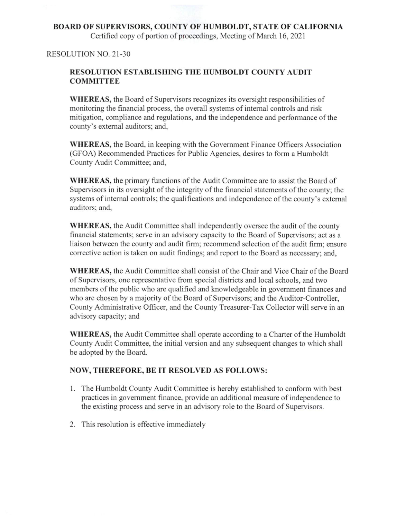# BOARD OF SUPERVISORS, COUNTY OF HUMBOLDT, STATE OF CALIFORNIA Certified copy of portion of proceedings. Meeting of March 16,2021

### RESOLUTION NO. 21-30

## RESOLUTION ESTABLISHING THE HUMBOLDT COUNTY AUDIT **COMMITTEE**

WHEREAS, the Board of Supervisors recognizes its oversight responsibilities of monitoring the financial process, the overall systems of internal controls and risk mitigation, compliance and regulations, and the independence and performance of the county's external auditors; and,

WHEREAS, the Board, in keeping with the Government Finance Officers Association (GFOA) Recommended Practices for Public Agencies, desires to form a Humboldt County Audit Committee; and,

WHEREAS, the primary functions of the Audit Committee are to assist the Board of Supervisors in its oversight of the integrity of the financial statements of the county; the systems of internal controls; the qualifications and independence of the county's external auditors; and,

WHEREAS, the Audit Committee shall independently oversee the audit of the county financial statements; serve in an advisory capacity to the Board of Supervisors; act as a liaison between the county and audit firm; recommend selection of the audit firm; ensure corrective action is taken on audit findings; and report to the Board as necessary; and,

WHEREAS, the Audit Committee shall consist of the Chair and Vice Chair of the Board of Supervisors, one representative from special districts and local schools, and two members of the public who are qualified and knowledgeable in government finances and who are chosen by a majority of the Board of Supervisors; and the Auditor-Controller, County Administrative Officer, and the County Treasurer-Tax Collector will serve in an advisory capacity; and

WHEREAS, the Audit Committee shall operate according to a Charter of the Humboldt County Audit Committee, the initial version and any subsequent changes to which shall be adopted by the Board.

## NOW, THEREFORE, BE IT RESOLVED AS FOLLOWS:

- 1. The Humboldt County Audit Committee is hereby established to conform with best practices in government finance, provide an additional measure of independence to the existing process and serve in an advisory role to the Board of Supervisors.
- 2. This resolution is effective immediately